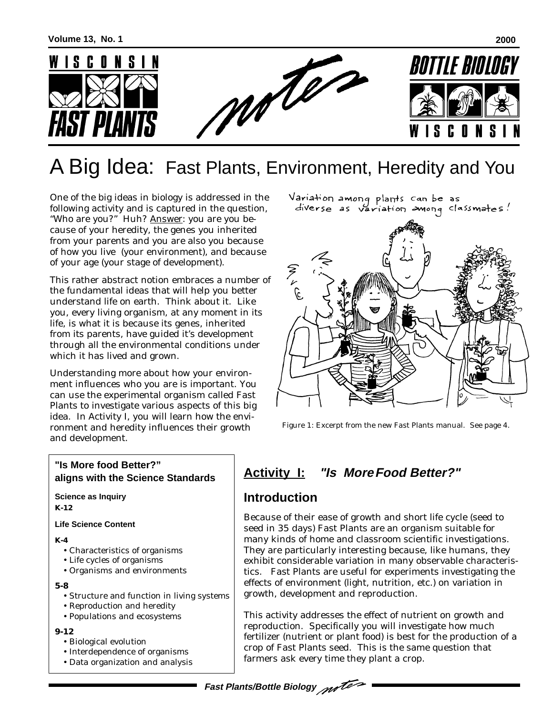

# A Big Idea: Fast Plants, Environment, Heredity and You

One of the big ideas in biology is addressed in the following activity and is captured in the question, "Who are you?" Huh? Answer: you are you because of your heredity, the genes you inherited from your parents and you are also you because of how you live (your environment), and because of your age (your stage of development).

This rather abstract notion embraces a number of the fundamental ideas that will help you better understand life on earth. Think about it. Like you, every living organism, at any moment in its life, is what it is because its genes, inherited from its parents, have guided it's development through all the environmental conditions under which it has lived and grown.

Understanding more about how your environment influences who you are is important. You can use the experimental organism called Fast Plants to investigate various aspects of this big idea. In Activity I, you will learn how the environment and heredity influences their growth and development.

### **"Is More food Better?" aligns with the Science Standards**

**Science as Inquiry K-12**

**Life Science Content**

**K-4**

- Characteristics of organisms
- Life cycles of organisms
- Organisms and environments

**5-8**

- Structure and function in living systems
- Reproduction and heredity
- Populations and ecosystems

#### **9-12**

- Biological evolution
- Interdependence of organisms
- Data organization and analysis



Figure 1: Excerpt from the new Fast Plants manual. See page 4.

# **Activity I: "Is MoreFood Better?"**

## **Introduction**

Because of their ease of growth and short life cycle (seed to seed in 35 days) Fast Plants are an organism suitable for many kinds of home and classroom scientific investigations. They are particularly interesting because, like humans, they exhibit considerable variation in many observable characteristics. Fast Plants are useful for experiments investigating the effects of environment (light, nutrition, etc.) on variation in growth, development and reproduction.

This activity addresses the effect of nutrient on growth and reproduction. Specifically you will investigate how much fertilizer (nutrient or plant food) is best for the production of a crop of Fast Plants seed. This is the same question that farmers ask every time they plant a crop.

### **Fast Plants/Bottle Biology**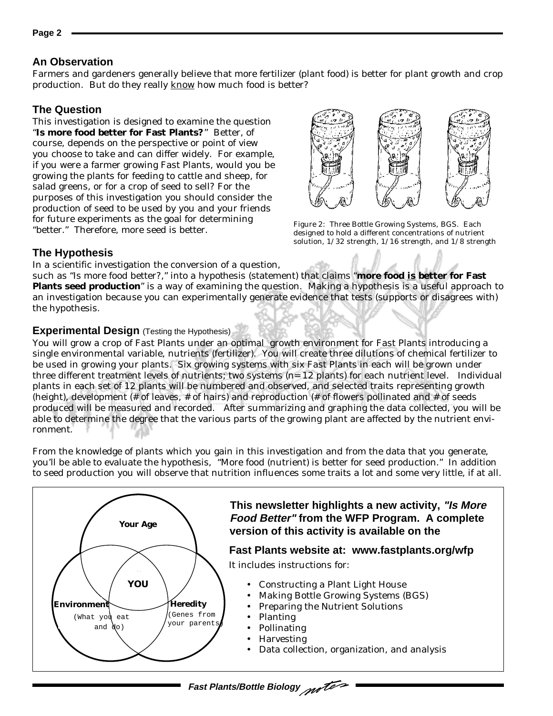#### **An Observation**

Farmers and gardeners generally believe that more fertilizer (plant food) is better for plant growth and crop production. But do they really know how much food is better?

### **The Question**

This investigation is designed to examine the question "**Is more food better for Fast Plants?**" Better, of course, depends on the perspective or point of view you choose to take and can differ widely. For example, if you were a farmer growing Fast Plants, would you be growing the plants for feeding to cattle and sheep, for salad greens, or for a crop of seed to sell? For the purposes of this investigation you should consider the production of seed to be used by you and your friends for future experiments as the goal for determining "better." Therefore, more seed is better.



Figure 2: Three Bottle Growing Systems, BGS. Each designed to hold a different concentrations of nutrient solution, 1/32 strength, 1/16 strength, and 1/8 strength

## **The Hypothesis**

In a scientific investigation the conversion of a question,

such as "Is more food better?," into a *hypothesis* (statement) that claims "**more food is better for Fast Plants seed production**" is a way of examining the question. Making a hypothesis is a useful approach to an investigation because you can experimentally generate evidence that tests (supports or disagrees with) the hypothesis.

#### **Experimental Design** (Testing the Hypothesis)

You will grow a crop of Fast Plants under an optimal growth environment for Fast Plants introducing a single environmental variable, nutrients (fertilizer). You will create three dilutions of chemical fertilizer to be used in growing your plants. Six growing systems with six Fast Plants in each will be grown under three different treatment levels of nutrients; two systems (n= 12 plants) for each nutrient level. Individual plants in each set of 12 plants will be numbered and observed, and selected traits representing growth (height), development (# of leaves, # of hairs) and reproduction (# of flowers pollinated and # of seeds produced will be measured and recorded. After summarizing and graphing the data collected, you will be able to determine the degree that the various parts of the growing plant are affected by the nutrient environment.

From the knowledge of plants which you gain in this investigation and from the data that you generate, you'll be able to evaluate the hypothesis, "More food (nutrient) is better for seed production." In addition to seed production you will observe that nutrition influences some traits a lot and some very little, if at all.



**Fast Plants/Bottle Biology**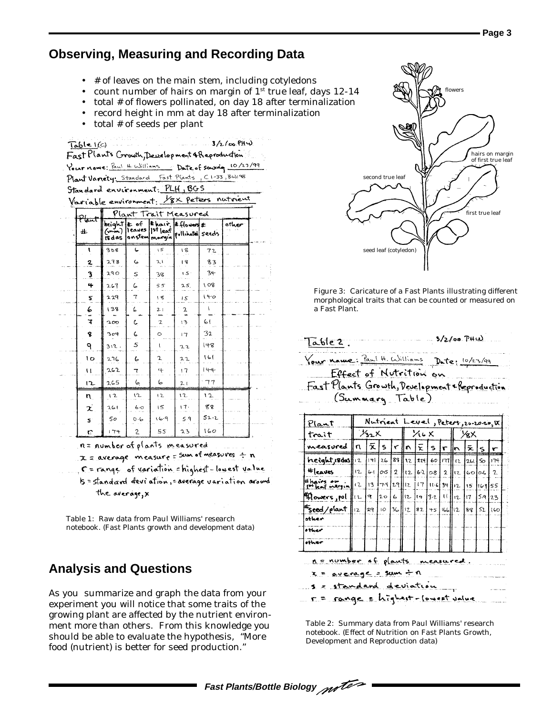## **Observing, Measuring and Recording Data**

- # of leaves on the main stem, including cotyledons
- count number of hairs on margin of  $1<sup>st</sup>$  true leaf, days  $12-14$
- total # of flowers pollinated, on day 18 after terminalization
- record height in mm at day 18 after terminalization
- total # of seeds per plant

|                                                | Table I(G)                                                                          |                                           |     |                                  |     |         | $3/2/00$ PHW                                        |  |  |  |  |  |  |
|------------------------------------------------|-------------------------------------------------------------------------------------|-------------------------------------------|-----|----------------------------------|-----|---------|-----------------------------------------------------|--|--|--|--|--|--|
| Fast Plants Crowth, Development & Reproduction |                                                                                     |                                           |     |                                  |     |         |                                                     |  |  |  |  |  |  |
|                                                |                                                                                     |                                           |     |                                  |     |         | Your name: Paul H. Williams Date of sowing 10/23/99 |  |  |  |  |  |  |
|                                                | Plant Variety: Standard Fast Plants, C1-33, BWI98<br>Standard environment: PLH, BGS |                                           |     |                                  |     |         |                                                     |  |  |  |  |  |  |
|                                                |                                                                                     |                                           |     |                                  |     |         |                                                     |  |  |  |  |  |  |
|                                                | Variable environment: 18X peters                                                    |                                           |     |                                  |     |         | natrient                                            |  |  |  |  |  |  |
|                                                | Plant                                                                               | Plant Trait Measured<br>Ehair, Effores to |     |                                  |     |         |                                                     |  |  |  |  |  |  |
|                                                | 业                                                                                   | height # of<br>(mm).<br><b>EAGS</b>       |     | Teaves Ist leaf pollinated seeds |     |         | ather                                               |  |  |  |  |  |  |
|                                                | ŧ                                                                                   | 308                                       | ما  | ١S                               | 18  | 72      |                                                     |  |  |  |  |  |  |
|                                                | 2                                                                                   | 278                                       | 6   | ス۱                               | 18  | 83      |                                                     |  |  |  |  |  |  |
|                                                | 3                                                                                   | 290                                       | Ś   | 38                               | : 5 | 34      |                                                     |  |  |  |  |  |  |
|                                                | 4                                                                                   | 267                                       | 6   | 55                               | 25. | 108     |                                                     |  |  |  |  |  |  |
|                                                | 5.                                                                                  | 229                                       | 7   | 18                               | 15  | $1 + 0$ |                                                     |  |  |  |  |  |  |
|                                                | 6                                                                                   | 138                                       | 6   | 21                               | 2   | ŧ       |                                                     |  |  |  |  |  |  |
|                                                | Ŧ                                                                                   | 200                                       | C   | $\overline{a}$                   | 13  | 61      |                                                     |  |  |  |  |  |  |
|                                                | g                                                                                   | 304                                       | 6   | $\circ$                          | 17  | 32      |                                                     |  |  |  |  |  |  |
|                                                | ۹                                                                                   | 312.                                      | 5   |                                  | 22  | 148     |                                                     |  |  |  |  |  |  |
|                                                | ١o                                                                                  | 276                                       | L   | 2                                | 22  | 161     |                                                     |  |  |  |  |  |  |
|                                                | u                                                                                   | 262                                       | 7   | $\ddot{}$                        | 17  | 144     |                                                     |  |  |  |  |  |  |
|                                                | 12                                                                                  | 265                                       | 6   | 6                                | 21  | 77      |                                                     |  |  |  |  |  |  |
|                                                | n                                                                                   | 12                                        | 12  | 12                               | 12  | 12      |                                                     |  |  |  |  |  |  |
|                                                | χ                                                                                   | 261                                       | 6.0 | 15                               | 17. | ६४      |                                                     |  |  |  |  |  |  |
|                                                | s.                                                                                  | 50                                        | O·6 | 9.41                             | 5.9 | 52.2    |                                                     |  |  |  |  |  |  |
|                                                | Ľ.                                                                                  | 174                                       | 2   | 55                               | 23  | 160     |                                                     |  |  |  |  |  |  |

n= number of plants measured

 $x = average$  measure = sum of measures  $\div n$ 

C = range of variation = highest = lowest value 5 = standard deviation, = average variation around the average, **x** 

Table 1: Raw data from Paul Williams' research notebook. (Fast Plants growth and development data)

## **Analysis and Questions**

As you summarize and graph the data from your experiment you will notice that some traits of the growing plant are affected by the nutrient environment more than others. From this knowledge you should be able to evaluate the hypothesis, "More food (nutrient) is better for seed production."



Figure 3: Caricature of a Fast Plants illustrating different morphological traits that can be counted or measured on a Fast Plant.

| Your name: <u>Paul H. Williams</u> Date: 10/23/99          |                        |         |                                      |  |                               |  |                                            |                          |  |                   |              |              |
|------------------------------------------------------------|------------------------|---------|--------------------------------------|--|-------------------------------|--|--------------------------------------------|--------------------------|--|-------------------|--------------|--------------|
| Effect of Nutrition on                                     |                        |         |                                      |  |                               |  |                                            |                          |  |                   |              |              |
| <u> Fast Plants Growth, Development &amp; Reproduction</u> |                        |         |                                      |  |                               |  |                                            |                          |  |                   |              |              |
| (Summary Table)                                            |                        |         |                                      |  |                               |  |                                            |                          |  |                   |              |              |
|                                                            |                        |         |                                      |  |                               |  |                                            |                          |  |                   |              |              |
| Nutrient Level, Peters, 20-20-20, W<br>Plant               |                        |         |                                      |  |                               |  |                                            |                          |  |                   |              |              |
| trait                                                      |                        |         |                                      |  | $\chi_{22}$ $\times$ $\times$ |  |                                            | $\frac{1}{2}$ % $\times$ |  |                   |              |              |
| measured                                                   | ∥⊓                     |         | $ \bar{x} $ s $ r  \bar{n} \bar{x} $ |  |                               |  | $ s r $ n                                  |                          |  | l≅.               | $\mathbf{s}$ |              |
| height, Bodas 12                                           |                        |         |                                      |  |                               |  | 141 26 23  12 24 60 17  12 26 50 174       |                          |  |                   |              |              |
| $# _{\text{cauts}}$                                        | $12 -$                 | $6 - 1$ | ∣∂ು ।                                |  |                               |  | 2  12 62 08 2                              |                          |  | $  z  $ 60 $ 0.6$ |              | $\mathbf{r}$ |
| thairs on<br>I <sup>p+</sup> leaf margin                   | (2)                    | 13      | 74                                   |  |                               |  | 29/12/17/116/34/12                         |                          |  | 15 <sup>7</sup>   | 116.9155     |              |
| Mowers, pol                                                | $\mathsf{I}\mathsf{L}$ |         | $9 \mid 20$                          |  |                               |  | 6 $\ $ 12 $\ $ 14 $\ $ 3.2 $\ $ 11 $\ $ 11 |                          |  | (7)               | 5.9          | 23           |
| seed/plant"                                                | $12-12$                | 2910    |                                      |  |                               |  | $36  2 82 +5  66  2 88 $                   |                          |  |                   | 52           | 160          |
| sther                                                      |                        |         |                                      |  |                               |  |                                            |                          |  |                   |              |              |
| o <del>r</del> heir                                        |                        |         |                                      |  |                               |  |                                            |                          |  |                   |              |              |
|                                                            |                        |         |                                      |  |                               |  |                                            |                          |  |                   |              |              |

average = sum + n

s = standard deviation r = range = highest - lowest value

Table 2: Summary data from Paul Williams' research notebook. (Effect of Nutrition on Fast Plants Growth, Development and Reproduction data)

**Fast Plants/Bottle Biology**